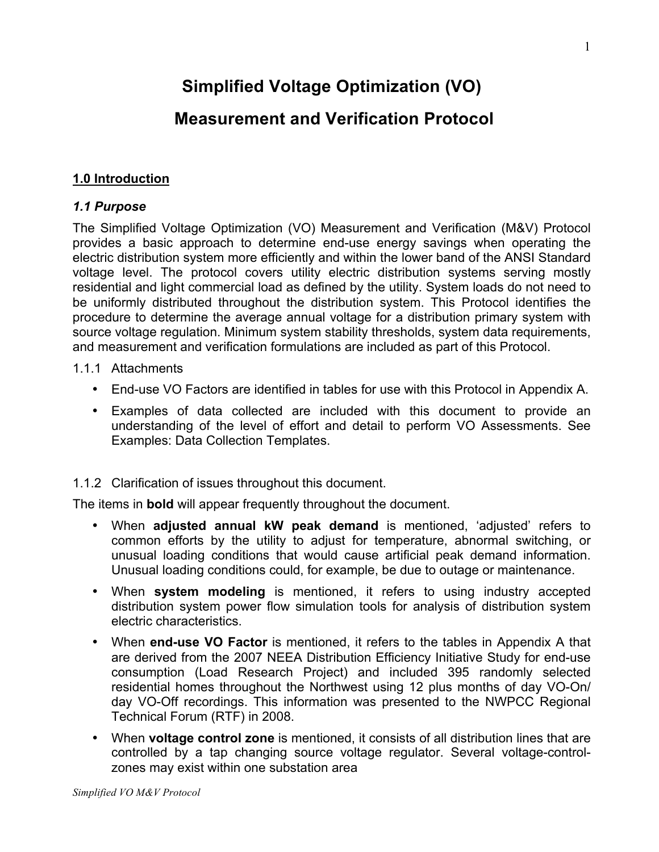# **Simplified Voltage Optimization (VO)**

## **Measurement and Verification Protocol**

#### **1.0 Introduction**

#### *1.1 Purpose*

The Simplified Voltage Optimization (VO) Measurement and Verification (M&V) Protocol provides a basic approach to determine end-use energy savings when operating the electric distribution system more efficiently and within the lower band of the ANSI Standard voltage level. The protocol covers utility electric distribution systems serving mostly residential and light commercial load as defined by the utility. System loads do not need to be uniformly distributed throughout the distribution system. This Protocol identifies the procedure to determine the average annual voltage for a distribution primary system with source voltage regulation. Minimum system stability thresholds, system data requirements, and measurement and verification formulations are included as part of this Protocol.

- 1.1.1 Attachments
	- End-use VO Factors are identified in tables for use with this Protocol in Appendix A.
	- Examples of data collected are included with this document to provide an understanding of the level of effort and detail to perform VO Assessments. See Examples: Data Collection Templates.

#### 1.1.2 Clarification of issues throughout this document.

The items in **bold** will appear frequently throughout the document.

- When **adjusted annual kW peak demand** is mentioned, 'adjusted' refers to common efforts by the utility to adjust for temperature, abnormal switching, or unusual loading conditions that would cause artificial peak demand information. Unusual loading conditions could, for example, be due to outage or maintenance.
- When **system modeling** is mentioned, it refers to using industry accepted distribution system power flow simulation tools for analysis of distribution system electric characteristics.
- When **end-use VO Factor** is mentioned, it refers to the tables in Appendix A that are derived from the 2007 NEEA Distribution Efficiency Initiative Study for end-use consumption (Load Research Project) and included 395 randomly selected residential homes throughout the Northwest using 12 plus months of day VO-On/ day VO-Off recordings. This information was presented to the NWPCC Regional Technical Forum (RTF) in 2008.
- When **voltage control zone** is mentioned, it consists of all distribution lines that are controlled by a tap changing source voltage regulator. Several voltage-controlzones may exist within one substation area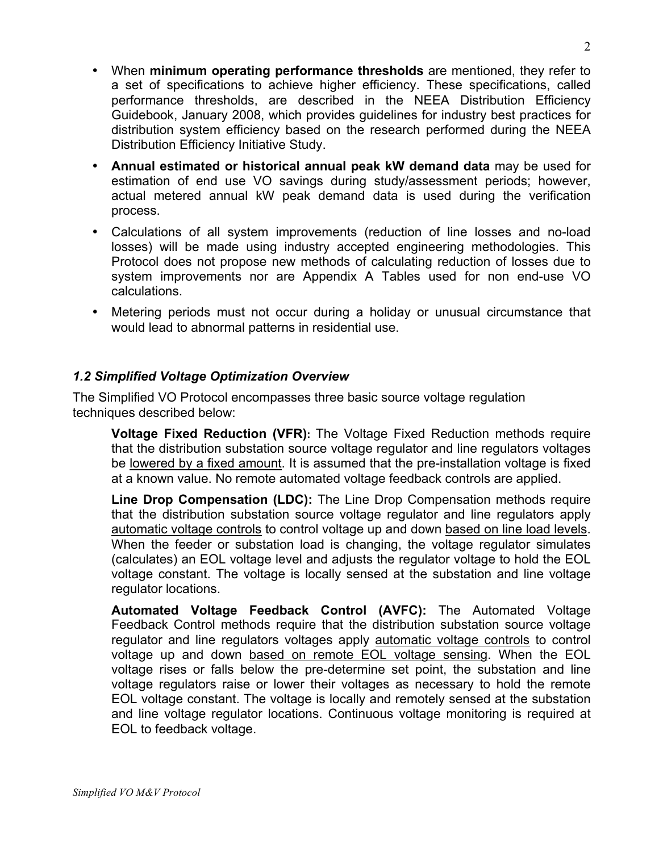- When **minimum operating performance thresholds** are mentioned, they refer to a set of specifications to achieve higher efficiency. These specifications, called performance thresholds, are described in the NEEA Distribution Efficiency Guidebook, January 2008, which provides guidelines for industry best practices for distribution system efficiency based on the research performed during the NEEA Distribution Efficiency Initiative Study.
- **Annual estimated or historical annual peak kW demand data** may be used for estimation of end use VO savings during study/assessment periods; however, actual metered annual kW peak demand data is used during the verification process.
- Calculations of all system improvements (reduction of line losses and no-load losses) will be made using industry accepted engineering methodologies. This Protocol does not propose new methods of calculating reduction of losses due to system improvements nor are Appendix A Tables used for non end-use VO calculations.
- Metering periods must not occur during a holiday or unusual circumstance that would lead to abnormal patterns in residential use.

#### *1.2 Simplified Voltage Optimization Overview*

The Simplified VO Protocol encompasses three basic source voltage regulation techniques described below:

**Voltage Fixed Reduction (VFR):** The Voltage Fixed Reduction methods require that the distribution substation source voltage regulator and line regulators voltages be lowered by a fixed amount. It is assumed that the pre-installation voltage is fixed at a known value. No remote automated voltage feedback controls are applied.

**Line Drop Compensation (LDC):** The Line Drop Compensation methods require that the distribution substation source voltage regulator and line regulators apply automatic voltage controls to control voltage up and down based on line load levels. When the feeder or substation load is changing, the voltage regulator simulates (calculates) an EOL voltage level and adjusts the regulator voltage to hold the EOL voltage constant. The voltage is locally sensed at the substation and line voltage regulator locations.

**Automated Voltage Feedback Control (AVFC):** The Automated Voltage Feedback Control methods require that the distribution substation source voltage regulator and line regulators voltages apply automatic voltage controls to control voltage up and down based on remote EOL voltage sensing. When the EOL voltage rises or falls below the pre-determine set point, the substation and line voltage regulators raise or lower their voltages as necessary to hold the remote EOL voltage constant. The voltage is locally and remotely sensed at the substation and line voltage regulator locations. Continuous voltage monitoring is required at EOL to feedback voltage.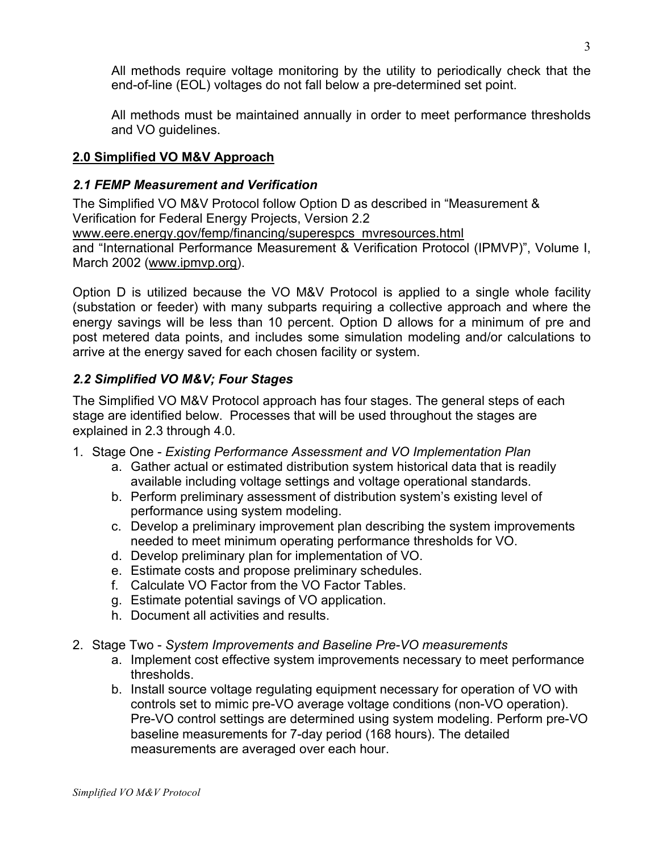All methods require voltage monitoring by the utility to periodically check that the end-of-line (EOL) voltages do not fall below a pre-determined set point.

All methods must be maintained annually in order to meet performance thresholds and VO guidelines.

#### **2.0 Simplified VO M&V Approach**

### *2.1 FEMP Measurement and Verification*

The Simplified VO M&V Protocol follow Option D as described in "Measurement & Verification for Federal Energy Projects, Version 2.2 www.eere.energy.gov/femp/financing/superespcs\_mvresources.html and "International Performance Measurement & Verification Protocol (IPMVP)", Volume I, March 2002 (www.ipmvp.org).

Option D is utilized because the VO M&V Protocol is applied to a single whole facility (substation or feeder) with many subparts requiring a collective approach and where the energy savings will be less than 10 percent. Option D allows for a minimum of pre and post metered data points, and includes some simulation modeling and/or calculations to arrive at the energy saved for each chosen facility or system.

## *2.2 Simplified VO M&V; Four Stages*

The Simplified VO M&V Protocol approach has four stages. The general steps of each stage are identified below. Processes that will be used throughout the stages are explained in 2.3 through 4.0.

- 1. Stage One *Existing Performance Assessment and VO Implementation Plan*
	- a. Gather actual or estimated distribution system historical data that is readily available including voltage settings and voltage operational standards.
	- b. Perform preliminary assessment of distribution system's existing level of performance using system modeling.
	- c. Develop a preliminary improvement plan describing the system improvements needed to meet minimum operating performance thresholds for VO.
	- d. Develop preliminary plan for implementation of VO.
	- e. Estimate costs and propose preliminary schedules.
	- f. Calculate VO Factor from the VO Factor Tables.
	- g. Estimate potential savings of VO application.
	- h. Document all activities and results.
- 2. Stage Two *System Improvements and Baseline Pre-VO measurements*
	- a. Implement cost effective system improvements necessary to meet performance thresholds.
	- b. Install source voltage regulating equipment necessary for operation of VO with controls set to mimic pre-VO average voltage conditions (non-VO operation). Pre-VO control settings are determined using system modeling. Perform pre-VO baseline measurements for 7-day period (168 hours). The detailed measurements are averaged over each hour.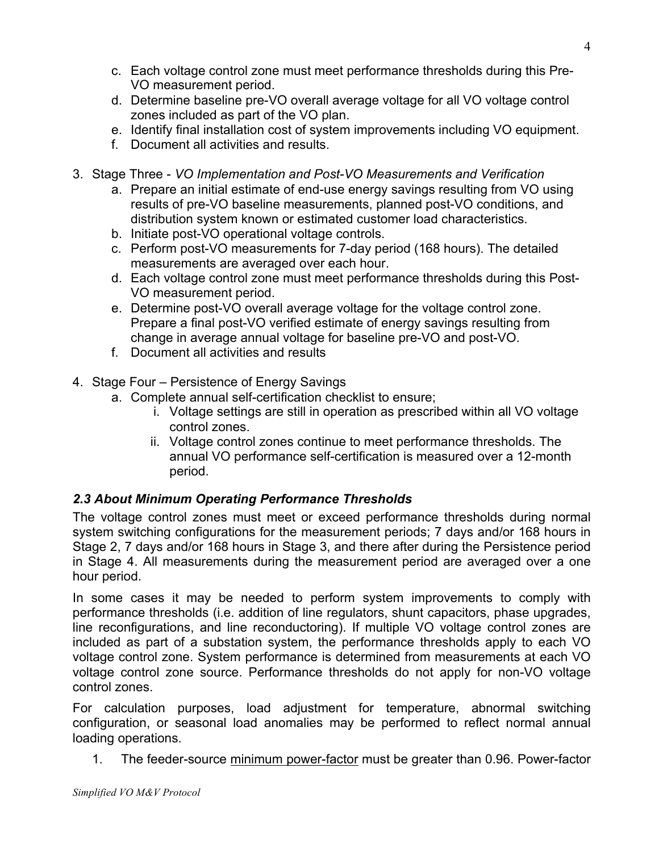- c. Each voltage control zone must meet performance thresholds during this Pre-VO measurement period.
- d. Determine baseline pre-VO overall average voltage for all VO voltage control zones included as part of the VO plan.
- e. Identify final installation cost of system improvements including VO equipment.
- f. Document all activities and results.
- 3. Stage Three *VO Implementation and Post-VO Measurements and Verification*
	- a. Prepare an initial estimate of end-use energy savings resulting from VO using results of pre-VO baseline measurements, planned post-VO conditions, and distribution system known or estimated customer load characteristics.
	- b. Initiate post-VO operational voltage controls.
	- c. Perform post-VO measurements for 7-day period (168 hours). The detailed measurements are averaged over each hour.
	- d. Each voltage control zone must meet performance thresholds during this Post-VO measurement period.
	- e. Determine post-VO overall average voltage for the voltage control zone. Prepare a final post-VO verified estimate of energy savings resulting from change in average annual voltage for baseline pre-VO and post-VO.
	- f. Document all activities and results
- 4. Stage Four Persistence of Energy Savings
	- a. Complete annual self-certification checklist to ensure;
		- i. Voltage settings are still in operation as prescribed within all VO voltage control zones.
		- ii. Voltage control zones continue to meet performance thresholds. The annual VO performance self-certification is measured over a 12-month period.

#### *2.3 About Minimum Operating Performance Thresholds*

The voltage control zones must meet or exceed performance thresholds during normal system switching configurations for the measurement periods; 7 days and/or 168 hours in Stage 2, 7 days and/or 168 hours in Stage 3, and there after during the Persistence period in Stage 4. All measurements during the measurement period are averaged over a one hour period.

In some cases it may be needed to perform system improvements to comply with performance thresholds (i.e. addition of line regulators, shunt capacitors, phase upgrades, line reconfigurations, and line reconductoring). If multiple VO voltage control zones are included as part of a substation system, the performance thresholds apply to each VO voltage control zone. System performance is determined from measurements at each VO voltage control zone source. Performance thresholds do not apply for non-VO voltage control zones.

For calculation purposes, load adjustment for temperature, abnormal switching configuration, or seasonal load anomalies may be performed to reflect normal annual loading operations.

1. The feeder-source minimum power-factor must be greater than 0.96. Power-factor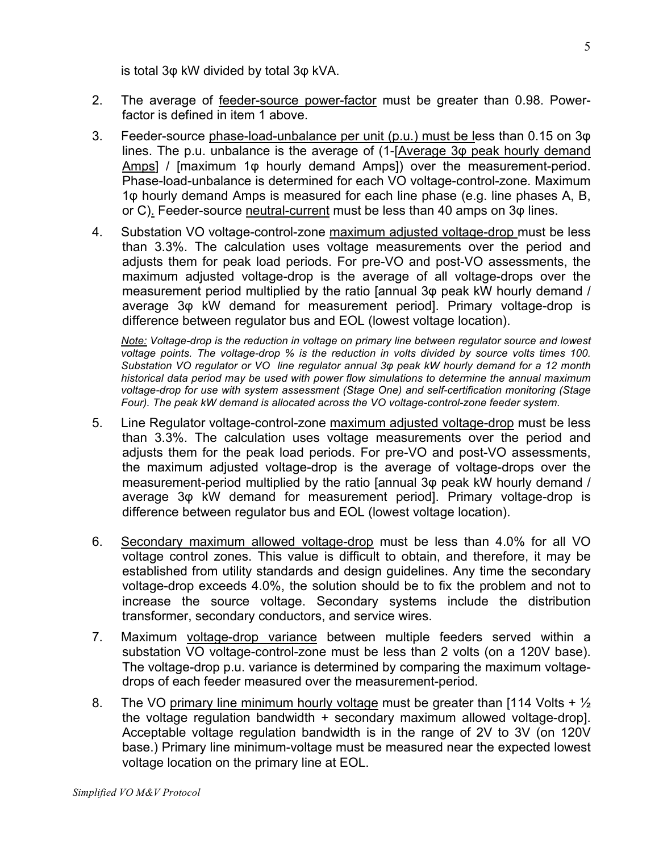is total 3φ kW divided by total 3φ kVA.

- 2. The average of feeder-source power-factor must be greater than 0.98. Powerfactor is defined in item 1 above.
- 3. Feeder-source phase-load-unbalance per unit (p.u.) must be less than 0.15 on 3φ lines. The p.u. unbalance is the average of (1-[Average 3 $\phi$  peak hourly demand Amps] / [maximum 1 $\phi$  hourly demand Amps]) over the measurement-period. Phase-load-unbalance is determined for each VO voltage-control-zone. Maximum 1φ hourly demand Amps is measured for each line phase (e.g. line phases A, B, or C). Feeder-source neutral-current must be less than 40 amps on 3φ lines.
- 4. Substation VO voltage-control-zone maximum adjusted voltage-drop must be less than 3.3%. The calculation uses voltage measurements over the period and adjusts them for peak load periods. For pre-VO and post-VO assessments, the maximum adjusted voltage-drop is the average of all voltage-drops over the measurement period multiplied by the ratio [annual 3 $\varphi$  peak kW hourly demand / average 3φ kW demand for measurement period]. Primary voltage-drop is difference between regulator bus and EOL (lowest voltage location).

*Note: Voltage-drop is the reduction in voltage on primary line between regulator source and lowest voltage points. The voltage-drop % is the reduction in volts divided by source volts times 100. Substation VO regulator or VO line regulator annual 3φ peak kW hourly demand for a 12 month historical data period may be used with power flow simulations to determine the annual maximum voltage-drop for use with system assessment (Stage One) and self-certification monitoring (Stage Four). The peak kW demand is allocated across the VO voltage-control-zone feeder system.*

- 5. Line Regulator voltage-control-zone maximum adjusted voltage-drop must be less than 3.3%. The calculation uses voltage measurements over the period and adjusts them for the peak load periods. For pre-VO and post-VO assessments, the maximum adjusted voltage-drop is the average of voltage-drops over the measurement-period multiplied by the ratio [annual 3φ peak kW hourly demand / average 3φ kW demand for measurement period]. Primary voltage-drop is difference between regulator bus and EOL (lowest voltage location).
- 6. Secondary maximum allowed voltage-drop must be less than 4.0% for all VO voltage control zones. This value is difficult to obtain, and therefore, it may be established from utility standards and design guidelines. Any time the secondary voltage-drop exceeds 4.0%, the solution should be to fix the problem and not to increase the source voltage. Secondary systems include the distribution transformer, secondary conductors, and service wires.
- 7. Maximum voltage-drop variance between multiple feeders served within a substation VO voltage-control-zone must be less than 2 volts (on a 120V base). The voltage-drop p.u. variance is determined by comparing the maximum voltagedrops of each feeder measured over the measurement-period.
- 8. The VO primary line minimum hourly voltage must be greater than [114 Volts +  $\frac{1}{2}$ the voltage regulation bandwidth + secondary maximum allowed voltage-drop]. Acceptable voltage regulation bandwidth is in the range of 2V to 3V (on 120V base.) Primary line minimum-voltage must be measured near the expected lowest voltage location on the primary line at EOL.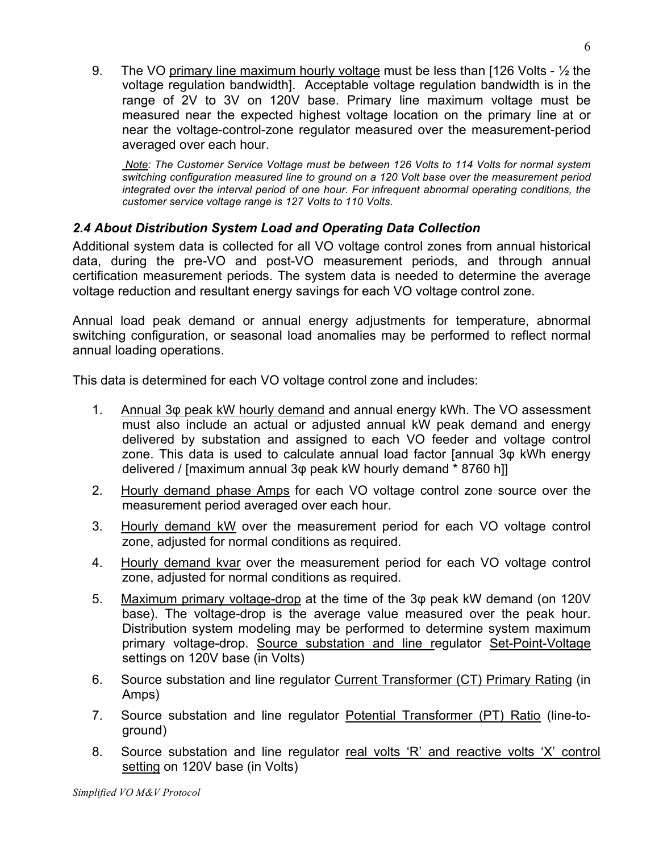9. The VO primary line maximum hourly voltage must be less than [126 Volts - ½ the voltage regulation bandwidth]. Acceptable voltage regulation bandwidth is in the range of 2V to 3V on 120V base. Primary line maximum voltage must be measured near the expected highest voltage location on the primary line at or near the voltage-control-zone regulator measured over the measurement-period averaged over each hour.

 *Note: The Customer Service Voltage must be between 126 Volts to 114 Volts for normal system switching configuration measured line to ground on a 120 Volt base over the measurement period integrated over the interval period of one hour. For infrequent abnormal operating conditions, the customer service voltage range is 127 Volts to 110 Volts.*

### *2.4 About Distribution System Load and Operating Data Collection*

Additional system data is collected for all VO voltage control zones from annual historical data, during the pre-VO and post-VO measurement periods, and through annual certification measurement periods. The system data is needed to determine the average voltage reduction and resultant energy savings for each VO voltage control zone.

Annual load peak demand or annual energy adjustments for temperature, abnormal switching configuration, or seasonal load anomalies may be performed to reflect normal annual loading operations.

This data is determined for each VO voltage control zone and includes:

- 1. Annual 3φ peak kW hourly demand and annual energy kWh. The VO assessment must also include an actual or adjusted annual kW peak demand and energy delivered by substation and assigned to each VO feeder and voltage control zone. This data is used to calculate annual load factor [annual 3φ kWh energy delivered / [maximum annual 3φ peak kW hourly demand \* 8760 h]]
- 2. Hourly demand phase Amps for each VO voltage control zone source over the measurement period averaged over each hour.
- 3. Hourly demand kW over the measurement period for each VO voltage control zone, adjusted for normal conditions as required.
- 4. Hourly demand kvar over the measurement period for each VO voltage control zone, adjusted for normal conditions as required.
- 5. Maximum primary voltage-drop at the time of the 3φ peak kW demand (on 120V base). The voltage-drop is the average value measured over the peak hour. Distribution system modeling may be performed to determine system maximum primary voltage-drop. Source substation and line regulator Set-Point-Voltage settings on 120V base (in Volts)
- 6. Source substation and line regulator Current Transformer (CT) Primary Rating (in Amps)
- 7. Source substation and line regulator Potential Transformer (PT) Ratio (line-toground)
- 8. Source substation and line regulator real volts 'R' and reactive volts 'X' control setting on 120V base (in Volts)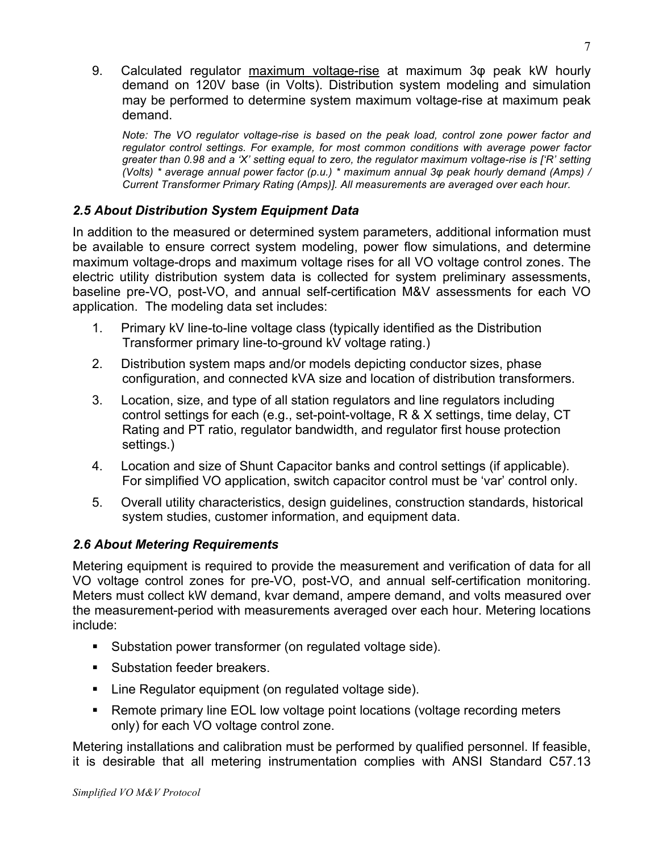9. Calculated regulator maximum voltage-rise at maximum 3φ peak kW hourly demand on 120V base (in Volts). Distribution system modeling and simulation may be performed to determine system maximum voltage-rise at maximum peak demand.

*Note: The VO regulator voltage-rise is based on the peak load, control zone power factor and regulator control settings. For example, for most common conditions with average power factor greater than 0.98 and a 'X' setting equal to zero, the regulator maximum voltage-rise is ['R' setting (Volts) \* average annual power factor (p.u.) \* maximum annual 3φ peak hourly demand (Amps) / Current Transformer Primary Rating (Amps)]. All measurements are averaged over each hour.*

## *2.5 About Distribution System Equipment Data*

In addition to the measured or determined system parameters, additional information must be available to ensure correct system modeling, power flow simulations, and determine maximum voltage-drops and maximum voltage rises for all VO voltage control zones. The electric utility distribution system data is collected for system preliminary assessments, baseline pre-VO, post-VO, and annual self-certification M&V assessments for each VO application. The modeling data set includes:

- 1. Primary kV line-to-line voltage class (typically identified as the Distribution Transformer primary line-to-ground kV voltage rating.)
- 2. Distribution system maps and/or models depicting conductor sizes, phase configuration, and connected kVA size and location of distribution transformers.
- 3. Location, size, and type of all station regulators and line regulators including control settings for each (e.g., set-point-voltage, R & X settings, time delay, CT Rating and PT ratio, regulator bandwidth, and regulator first house protection settings.)
- 4. Location and size of Shunt Capacitor banks and control settings (if applicable). For simplified VO application, switch capacitor control must be 'var' control only.
- 5. Overall utility characteristics, design guidelines, construction standards, historical system studies, customer information, and equipment data.

#### *2.6 About Metering Requirements*

Metering equipment is required to provide the measurement and verification of data for all VO voltage control zones for pre-VO, post-VO, and annual self-certification monitoring. Meters must collect kW demand, kvar demand, ampere demand, and volts measured over the measurement-period with measurements averaged over each hour. Metering locations include:

- Substation power transformer (on regulated voltage side).
- Substation feeder breakers.
- **EXECT** Line Regulator equipment (on regulated voltage side).
- Remote primary line EOL low voltage point locations (voltage recording meters only) for each VO voltage control zone.

Metering installations and calibration must be performed by qualified personnel. If feasible, it is desirable that all metering instrumentation complies with ANSI Standard C57.13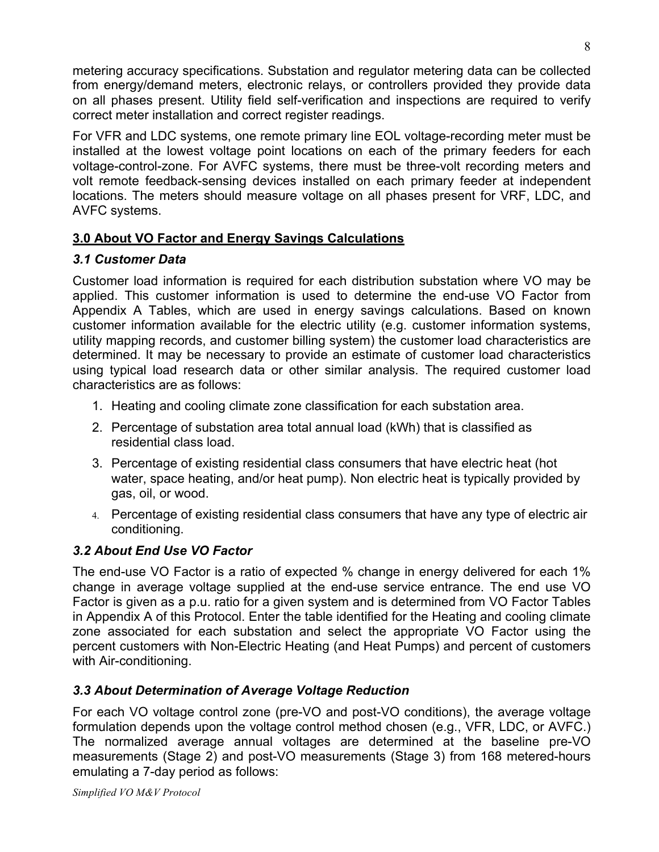metering accuracy specifications. Substation and regulator metering data can be collected from energy/demand meters, electronic relays, or controllers provided they provide data on all phases present. Utility field self-verification and inspections are required to verify correct meter installation and correct register readings.

For VFR and LDC systems, one remote primary line EOL voltage-recording meter must be installed at the lowest voltage point locations on each of the primary feeders for each voltage-control-zone. For AVFC systems, there must be three-volt recording meters and volt remote feedback-sensing devices installed on each primary feeder at independent locations. The meters should measure voltage on all phases present for VRF, LDC, and AVFC systems.

### **3.0 About VO Factor and Energy Savings Calculations**

### *3.1 Customer Data*

Customer load information is required for each distribution substation where VO may be applied. This customer information is used to determine the end-use VO Factor from Appendix A Tables, which are used in energy savings calculations. Based on known customer information available for the electric utility (e.g. customer information systems, utility mapping records, and customer billing system) the customer load characteristics are determined. It may be necessary to provide an estimate of customer load characteristics using typical load research data or other similar analysis. The required customer load characteristics are as follows:

- 1. Heating and cooling climate zone classification for each substation area.
- 2. Percentage of substation area total annual load (kWh) that is classified as residential class load.
- 3. Percentage of existing residential class consumers that have electric heat (hot water, space heating, and/or heat pump). Non electric heat is typically provided by gas, oil, or wood.
- 4. Percentage of existing residential class consumers that have any type of electric air conditioning.

## *3.2 About End Use VO Factor*

The end-use VO Factor is a ratio of expected % change in energy delivered for each 1% change in average voltage supplied at the end-use service entrance. The end use VO Factor is given as a p.u. ratio for a given system and is determined from VO Factor Tables in Appendix A of this Protocol. Enter the table identified for the Heating and cooling climate zone associated for each substation and select the appropriate VO Factor using the percent customers with Non-Electric Heating (and Heat Pumps) and percent of customers with Air-conditioning.

## *3.3 About Determination of Average Voltage Reduction*

For each VO voltage control zone (pre-VO and post-VO conditions), the average voltage formulation depends upon the voltage control method chosen (e.g., VFR, LDC, or AVFC.) The normalized average annual voltages are determined at the baseline pre-VO measurements (Stage 2) and post-VO measurements (Stage 3) from 168 metered-hours emulating a 7-day period as follows: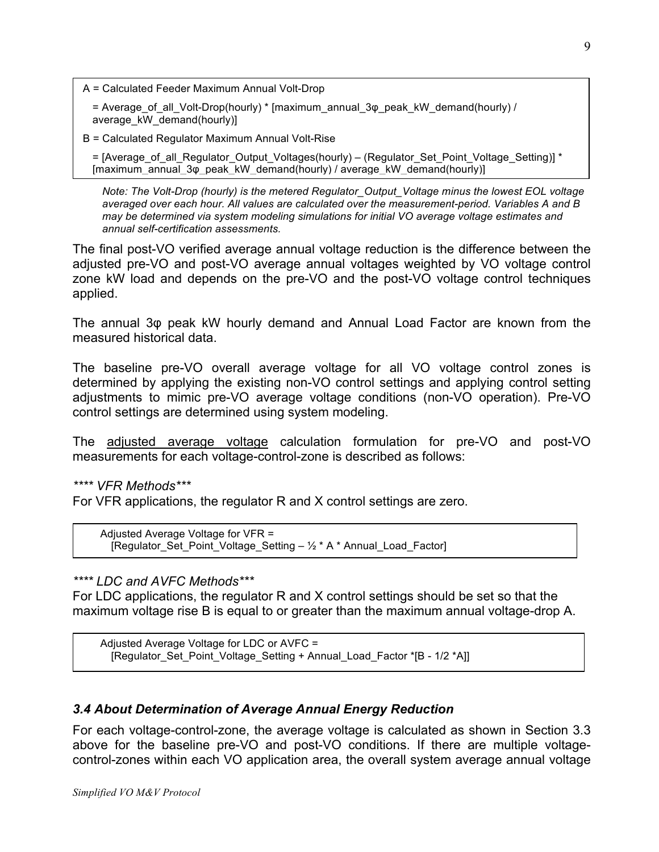A = Calculated Feeder Maximum Annual Volt-Drop

= Average of all Volt-Drop(hourly) \* [maximum\_annual\_3 $\varphi$  peak\_kW\_demand(hourly) / average\_kW\_demand(hourly)]

B = Calculated Regulator Maximum Annual Volt-Rise

= [Average\_of\_all\_Regulator\_Output\_Voltages(hourly) – (Regulator\_Set\_Point\_Voltage\_Setting)] \* [maximum\_annual\_3φ\_peak\_kW\_demand(hourly) / average\_kW\_demand(hourly)]

*Note: The Volt-Drop (hourly) is the metered Regulator\_Output\_Voltage minus the lowest EOL voltage averaged over each hour. All values are calculated over the measurement-period. Variables A and B may be determined via system modeling simulations for initial VO average voltage estimates and annual self-certification assessments.*

The final post-VO verified average annual voltage reduction is the difference between the adjusted pre-VO and post-VO average annual voltages weighted by VO voltage control zone kW load and depends on the pre-VO and the post-VO voltage control techniques applied.

The annual 3φ peak kW hourly demand and Annual Load Factor are known from the measured historical data.

The baseline pre-VO overall average voltage for all VO voltage control zones is determined by applying the existing non-VO control settings and applying control setting adjustments to mimic pre-VO average voltage conditions (non-VO operation). Pre-VO control settings are determined using system modeling.

The adjusted average voltage calculation formulation for pre-VO and post-VO measurements for each voltage-control-zone is described as follows:

*\*\*\*\* VFR Methods\*\*\**

For VFR applications, the regulator R and X control settings are zero.

Adjusted Average Voltage for VFR = [Regulator Set Point Voltage Setting –  $\frac{1}{2}$  \* A \* Annual Load Factor]

#### *\*\*\*\* LDC and AVFC Methods\*\*\**

For LDC applications, the regulator R and X control settings should be set so that the maximum voltage rise B is equal to or greater than the maximum annual voltage-drop A.

Adjusted Average Voltage for LDC or AVFC = [Regulator\_Set\_Point\_Voltage\_Setting + Annual\_Load\_Factor \*[B - 1/2 \*A]]

#### *3.4 About Determination of Average Annual Energy Reduction*

For each voltage-control-zone, the average voltage is calculated as shown in Section 3.3 above for the baseline pre-VO and post-VO conditions. If there are multiple voltagecontrol-zones within each VO application area, the overall system average annual voltage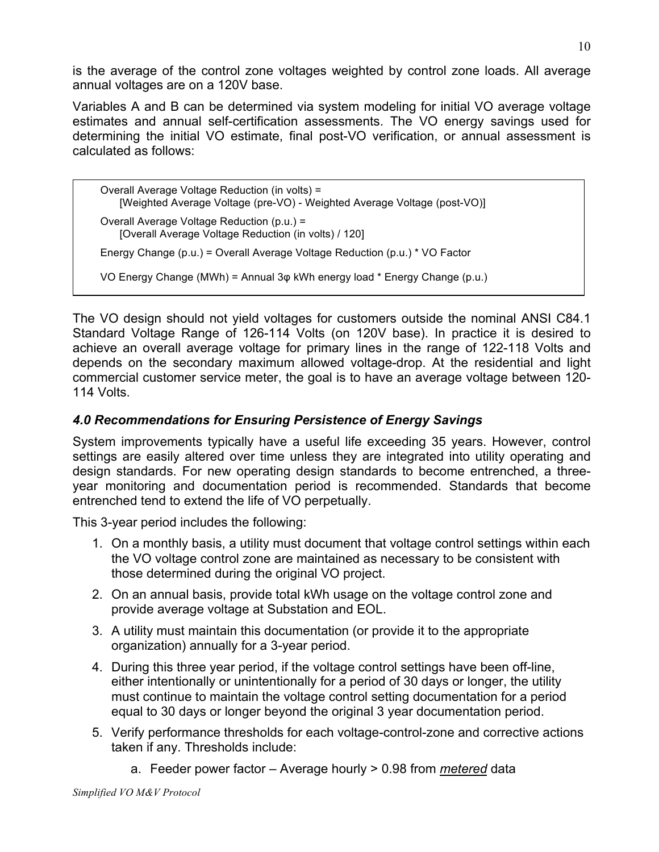is the average of the control zone voltages weighted by control zone loads. All average annual voltages are on a 120V base.

Variables A and B can be determined via system modeling for initial VO average voltage estimates and annual self-certification assessments. The VO energy savings used for determining the initial VO estimate, final post-VO verification, or annual assessment is calculated as follows:

```
Overall Average Voltage Reduction (in volts) =
    [Weighted Average Voltage (pre-VO) - Weighted Average Voltage (post-VO)]
Overall Average Voltage Reduction (p.u.) =
    [Overall Average Voltage Reduction (in volts) / 120]
Energy Change (p.u.) = Overall Average Voltage Reduction (p.u.) * VO Factor
VO Energy Change (MWh) = Annual 3φ kWh energy load * Energy Change (p.u.)
```
The VO design should not yield voltages for customers outside the nominal ANSI C84.1 Standard Voltage Range of 126-114 Volts (on 120V base). In practice it is desired to achieve an overall average voltage for primary lines in the range of 122-118 Volts and depends on the secondary maximum allowed voltage-drop. At the residential and light commercial customer service meter, the goal is to have an average voltage between 120- 114 Volts.

## *4.0 Recommendations for Ensuring Persistence of Energy Savings*

System improvements typically have a useful life exceeding 35 years. However, control settings are easily altered over time unless they are integrated into utility operating and design standards. For new operating design standards to become entrenched, a threeyear monitoring and documentation period is recommended. Standards that become entrenched tend to extend the life of VO perpetually.

This 3-year period includes the following:

- 1. On a monthly basis, a utility must document that voltage control settings within each the VO voltage control zone are maintained as necessary to be consistent with those determined during the original VO project.
- 2. On an annual basis, provide total kWh usage on the voltage control zone and provide average voltage at Substation and EOL.
- 3. A utility must maintain this documentation (or provide it to the appropriate organization) annually for a 3-year period.
- 4. During this three year period, if the voltage control settings have been off-line, either intentionally or unintentionally for a period of 30 days or longer, the utility must continue to maintain the voltage control setting documentation for a period equal to 30 days or longer beyond the original 3 year documentation period.
- 5. Verify performance thresholds for each voltage-control-zone and corrective actions taken if any. Thresholds include:
	- a. Feeder power factor Average hourly > 0.98 from *metered* data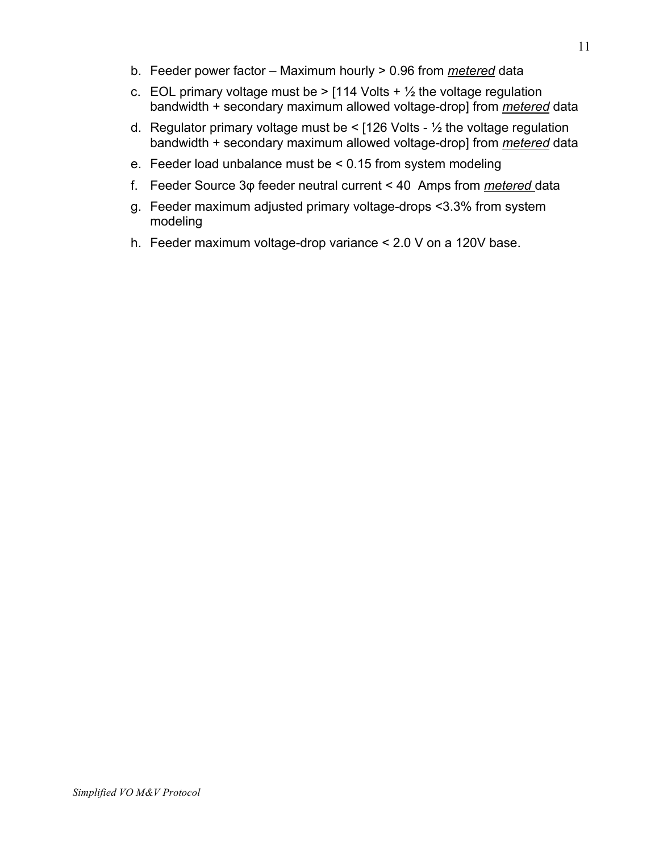- b. Feeder power factor Maximum hourly > 0.96 from *metered* data
- c. EOL primary voltage must be  $>$  [114 Volts +  $\frac{1}{2}$  the voltage regulation bandwidth + secondary maximum allowed voltage-drop] from *metered* data
- d. Regulator primary voltage must be  $\le$  [126 Volts  $\frac{1}{2}$  the voltage regulation bandwidth + secondary maximum allowed voltage-drop] from *metered* data
- e. Feeder load unbalance must be < 0.15 from system modeling
- f. Feeder Source 3φ feeder neutral current < 40 Amps from *metered* data
- g. Feeder maximum adjusted primary voltage-drops <3.3% from system modeling
- h. Feeder maximum voltage-drop variance < 2.0 V on a 120V base.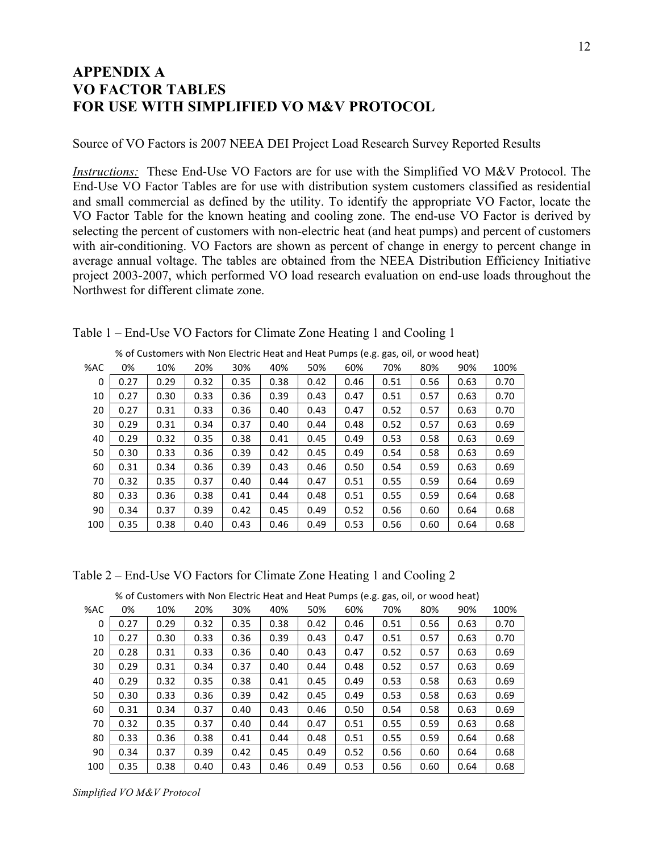### **APPENDIX A VO FACTOR TABLES FOR USE WITH SIMPLIFIED VO M&V PROTOCOL**

Source of VO Factors is 2007 NEEA DEI Project Load Research Survey Reported Results

*Instructions:* These End-Use VO Factors are for use with the Simplified VO M&V Protocol. The End-Use VO Factor Tables are for use with distribution system customers classified as residential and small commercial as defined by the utility. To identify the appropriate VO Factor, locate the VO Factor Table for the known heating and cooling zone. The end-use VO Factor is derived by selecting the percent of customers with non-electric heat (and heat pumps) and percent of customers with air-conditioning. VO Factors are shown as percent of change in energy to percent change in average annual voltage. The tables are obtained from the NEEA Distribution Efficiency Initiative project 2003-2007, which performed VO load research evaluation on end-use loads throughout the Northwest for different climate zone.

|     |      | % of Customers with Non Electric Heat and Heat Pumps (e.g. gas, oil, or wood heat) |      |      |      |      |      |      |      |      |      |
|-----|------|------------------------------------------------------------------------------------|------|------|------|------|------|------|------|------|------|
| %AC | 0%   | 10%                                                                                | 20%  | 30%  | 40%  | 50%  | 60%  | 70%  | 80%  | 90%  | 100% |
| 0   | 0.27 | 0.29                                                                               | 0.32 | 0.35 | 0.38 | 0.42 | 0.46 | 0.51 | 0.56 | 0.63 | 0.70 |
| 10  | 0.27 | 0.30                                                                               | 0.33 | 0.36 | 0.39 | 0.43 | 0.47 | 0.51 | 0.57 | 0.63 | 0.70 |
| 20  | 0.27 | 0.31                                                                               | 0.33 | 0.36 | 0.40 | 0.43 | 0.47 | 0.52 | 0.57 | 0.63 | 0.70 |
| 30  | 0.29 | 0.31                                                                               | 0.34 | 0.37 | 0.40 | 0.44 | 0.48 | 0.52 | 0.57 | 0.63 | 0.69 |
| 40  | 0.29 | 0.32                                                                               | 0.35 | 0.38 | 0.41 | 0.45 | 0.49 | 0.53 | 0.58 | 0.63 | 0.69 |
| 50  | 0.30 | 0.33                                                                               | 0.36 | 0.39 | 0.42 | 0.45 | 0.49 | 0.54 | 0.58 | 0.63 | 0.69 |
| 60  | 0.31 | 0.34                                                                               | 0.36 | 0.39 | 0.43 | 0.46 | 0.50 | 0.54 | 0.59 | 0.63 | 0.69 |
| 70  | 0.32 | 0.35                                                                               | 0.37 | 0.40 | 0.44 | 0.47 | 0.51 | 0.55 | 0.59 | 0.64 | 0.69 |
| 80  | 0.33 | 0.36                                                                               | 0.38 | 0.41 | 0.44 | 0.48 | 0.51 | 0.55 | 0.59 | 0.64 | 0.68 |
| 90  | 0.34 | 0.37                                                                               | 0.39 | 0.42 | 0.45 | 0.49 | 0.52 | 0.56 | 0.60 | 0.64 | 0.68 |
| 100 | 0.35 | 0.38                                                                               | 0.40 | 0.43 | 0.46 | 0.49 | 0.53 | 0.56 | 0.60 | 0.64 | 0.68 |

Table 1 – End-Use VO Factors for Climate Zone Heating 1 and Cooling 1

Table 2 – End-Use VO Factors for Climate Zone Heating 1 and Cooling 2

|     | of castomers with non-electric ricat and ricat ramps (e.g. gas, on, or wood near) |      |      |      |      |      |      |      |      |      |      |  |  |
|-----|-----------------------------------------------------------------------------------|------|------|------|------|------|------|------|------|------|------|--|--|
| %AC | 0%                                                                                | 10%  | 20%  | 30%  | 40%  | 50%  | 60%  | 70%  | 80%  | 90%  | 100% |  |  |
| 0   | 0.27                                                                              | 0.29 | 0.32 | 0.35 | 0.38 | 0.42 | 0.46 | 0.51 | 0.56 | 0.63 | 0.70 |  |  |
| 10  | 0.27                                                                              | 0.30 | 0.33 | 0.36 | 0.39 | 0.43 | 0.47 | 0.51 | 0.57 | 0.63 | 0.70 |  |  |
| 20  | 0.28                                                                              | 0.31 | 0.33 | 0.36 | 0.40 | 0.43 | 0.47 | 0.52 | 0.57 | 0.63 | 0.69 |  |  |
| 30  | 0.29                                                                              | 0.31 | 0.34 | 0.37 | 0.40 | 0.44 | 0.48 | 0.52 | 0.57 | 0.63 | 0.69 |  |  |
| 40  | 0.29                                                                              | 0.32 | 0.35 | 0.38 | 0.41 | 0.45 | 0.49 | 0.53 | 0.58 | 0.63 | 0.69 |  |  |
| 50  | 0.30                                                                              | 0.33 | 0.36 | 0.39 | 0.42 | 0.45 | 0.49 | 0.53 | 0.58 | 0.63 | 0.69 |  |  |
| 60  | 0.31                                                                              | 0.34 | 0.37 | 0.40 | 0.43 | 0.46 | 0.50 | 0.54 | 0.58 | 0.63 | 0.69 |  |  |
| 70  | 0.32                                                                              | 0.35 | 0.37 | 0.40 | 0.44 | 0.47 | 0.51 | 0.55 | 0.59 | 0.63 | 0.68 |  |  |
| 80  | 0.33                                                                              | 0.36 | 0.38 | 0.41 | 0.44 | 0.48 | 0.51 | 0.55 | 0.59 | 0.64 | 0.68 |  |  |
| 90  | 0.34                                                                              | 0.37 | 0.39 | 0.42 | 0.45 | 0.49 | 0.52 | 0.56 | 0.60 | 0.64 | 0.68 |  |  |
| 100 | 0.35                                                                              | 0.38 | 0.40 | 0.43 | 0.46 | 0.49 | 0.53 | 0.56 | 0.60 | 0.64 | 0.68 |  |  |

% of Customers with Non Electric Heat and Heat Pumps (e.g. gas, oil, or wood heat)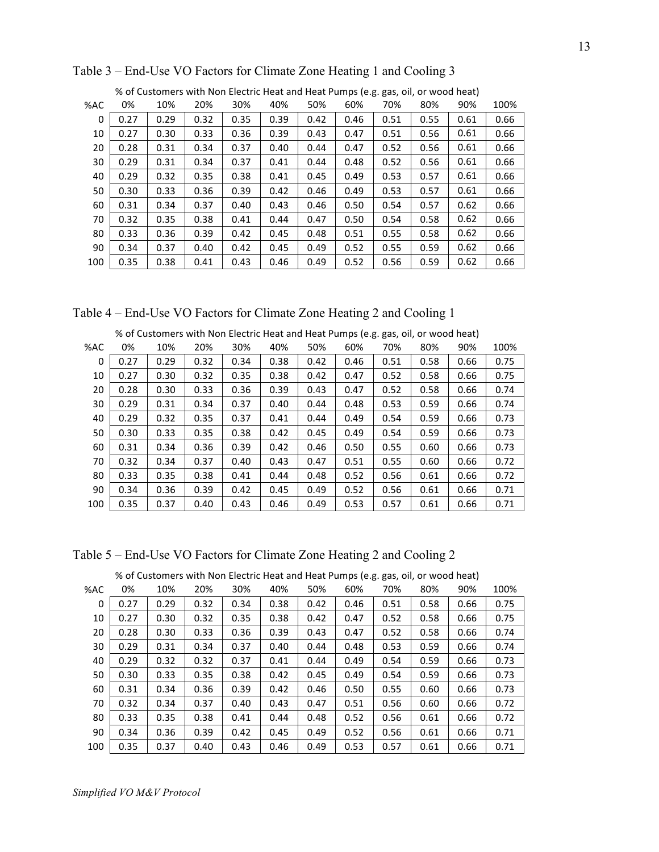|     | % of Customers with Non Electric Heat and Heat Pumps (e.g. gas, oil, or wood heat) |      |      |      |      |      |      |      |      |      |      |  |  |
|-----|------------------------------------------------------------------------------------|------|------|------|------|------|------|------|------|------|------|--|--|
| %AC | 0%                                                                                 | 10%  | 20%  | 30%  | 40%  | 50%  | 60%  | 70%  | 80%  | 90%  | 100% |  |  |
| 0   | 0.27                                                                               | 0.29 | 0.32 | 0.35 | 0.39 | 0.42 | 0.46 | 0.51 | 0.55 | 0.61 | 0.66 |  |  |
| 10  | 0.27                                                                               | 0.30 | 0.33 | 0.36 | 0.39 | 0.43 | 0.47 | 0.51 | 0.56 | 0.61 | 0.66 |  |  |
| 20  | 0.28                                                                               | 0.31 | 0.34 | 0.37 | 0.40 | 0.44 | 0.47 | 0.52 | 0.56 | 0.61 | 0.66 |  |  |
| 30  | 0.29                                                                               | 0.31 | 0.34 | 0.37 | 0.41 | 0.44 | 0.48 | 0.52 | 0.56 | 0.61 | 0.66 |  |  |
| 40  | 0.29                                                                               | 0.32 | 0.35 | 0.38 | 0.41 | 0.45 | 0.49 | 0.53 | 0.57 | 0.61 | 0.66 |  |  |
| 50  | 0.30                                                                               | 0.33 | 0.36 | 0.39 | 0.42 | 0.46 | 0.49 | 0.53 | 0.57 | 0.61 | 0.66 |  |  |
| 60  | 0.31                                                                               | 0.34 | 0.37 | 0.40 | 0.43 | 0.46 | 0.50 | 0.54 | 0.57 | 0.62 | 0.66 |  |  |
| 70  | 0.32                                                                               | 0.35 | 0.38 | 0.41 | 0.44 | 0.47 | 0.50 | 0.54 | 0.58 | 0.62 | 0.66 |  |  |
| 80  | 0.33                                                                               | 0.36 | 0.39 | 0.42 | 0.45 | 0.48 | 0.51 | 0.55 | 0.58 | 0.62 | 0.66 |  |  |
| 90  | 0.34                                                                               | 0.37 | 0.40 | 0.42 | 0.45 | 0.49 | 0.52 | 0.55 | 0.59 | 0.62 | 0.66 |  |  |
| 100 | 0.35                                                                               | 0.38 | 0.41 | 0.43 | 0.46 | 0.49 | 0.52 | 0.56 | 0.59 | 0.62 | 0.66 |  |  |

Table 3 – End-Use VO Factors for Climate Zone Heating 1 and Cooling 3

% of Customers with Non Electric Heat and Heat Pumps (e.g. gas, oil, or wood heat)

Table 4 – End-Use VO Factors for Climate Zone Heating 2 and Cooling 1

|     | % of Customers with Non Electric Heat and Heat Pumps (e.g. gas, oil, or wood heat) |      |      |      |      |      |      |      |      |      |      |  |  |
|-----|------------------------------------------------------------------------------------|------|------|------|------|------|------|------|------|------|------|--|--|
| %AC | 0%                                                                                 | 10%  | 20%  | 30%  | 40%  | 50%  | 60%  | 70%  | 80%  | 90%  | 100% |  |  |
| 0   | 0.27                                                                               | 0.29 | 0.32 | 0.34 | 0.38 | 0.42 | 0.46 | 0.51 | 0.58 | 0.66 | 0.75 |  |  |
| 10  | 0.27                                                                               | 0.30 | 0.32 | 0.35 | 0.38 | 0.42 | 0.47 | 0.52 | 0.58 | 0.66 | 0.75 |  |  |
| 20  | 0.28                                                                               | 0.30 | 0.33 | 0.36 | 0.39 | 0.43 | 0.47 | 0.52 | 0.58 | 0.66 | 0.74 |  |  |
| 30  | 0.29                                                                               | 0.31 | 0.34 | 0.37 | 0.40 | 0.44 | 0.48 | 0.53 | 0.59 | 0.66 | 0.74 |  |  |
| 40  | 0.29                                                                               | 0.32 | 0.35 | 0.37 | 0.41 | 0.44 | 0.49 | 0.54 | 0.59 | 0.66 | 0.73 |  |  |
| 50  | 0.30                                                                               | 0.33 | 0.35 | 0.38 | 0.42 | 0.45 | 0.49 | 0.54 | 0.59 | 0.66 | 0.73 |  |  |
| 60  | 0.31                                                                               | 0.34 | 0.36 | 0.39 | 0.42 | 0.46 | 0.50 | 0.55 | 0.60 | 0.66 | 0.73 |  |  |
| 70  | 0.32                                                                               | 0.34 | 0.37 | 0.40 | 0.43 | 0.47 | 0.51 | 0.55 | 0.60 | 0.66 | 0.72 |  |  |
| 80  | 0.33                                                                               | 0.35 | 0.38 | 0.41 | 0.44 | 0.48 | 0.52 | 0.56 | 0.61 | 0.66 | 0.72 |  |  |
| 90  | 0.34                                                                               | 0.36 | 0.39 | 0.42 | 0.45 | 0.49 | 0.52 | 0.56 | 0.61 | 0.66 | 0.71 |  |  |
| 100 | 0.35                                                                               | 0.37 | 0.40 | 0.43 | 0.46 | 0.49 | 0.53 | 0.57 | 0.61 | 0.66 | 0.71 |  |  |

Table 5 – End-Use VO Factors for Climate Zone Heating 2 and Cooling 2

|     | o or castomers with non-Electric ricat and ricat i amps (c.g. gas, on, or wood near) |      |      |      |      |      |      |      |      |      |      |  |  |
|-----|--------------------------------------------------------------------------------------|------|------|------|------|------|------|------|------|------|------|--|--|
| %AC | 0%                                                                                   | 10%  | 20%  | 30%  | 40%  | 50%  | 60%  | 70%  | 80%  | 90%  | 100% |  |  |
| 0   | 0.27                                                                                 | 0.29 | 0.32 | 0.34 | 0.38 | 0.42 | 0.46 | 0.51 | 0.58 | 0.66 | 0.75 |  |  |
| 10  | 0.27                                                                                 | 0.30 | 0.32 | 0.35 | 0.38 | 0.42 | 0.47 | 0.52 | 0.58 | 0.66 | 0.75 |  |  |
| 20  | 0.28                                                                                 | 0.30 | 0.33 | 0.36 | 0.39 | 0.43 | 0.47 | 0.52 | 0.58 | 0.66 | 0.74 |  |  |
| 30  | 0.29                                                                                 | 0.31 | 0.34 | 0.37 | 0.40 | 0.44 | 0.48 | 0.53 | 0.59 | 0.66 | 0.74 |  |  |
| 40  | 0.29                                                                                 | 0.32 | 0.32 | 0.37 | 0.41 | 0.44 | 0.49 | 0.54 | 0.59 | 0.66 | 0.73 |  |  |
| 50  | 0.30                                                                                 | 0.33 | 0.35 | 0.38 | 0.42 | 0.45 | 0.49 | 0.54 | 0.59 | 0.66 | 0.73 |  |  |
| 60  | 0.31                                                                                 | 0.34 | 0.36 | 0.39 | 0.42 | 0.46 | 0.50 | 0.55 | 0.60 | 0.66 | 0.73 |  |  |
| 70  | 0.32                                                                                 | 0.34 | 0.37 | 0.40 | 0.43 | 0.47 | 0.51 | 0.56 | 0.60 | 0.66 | 0.72 |  |  |
| 80  | 0.33                                                                                 | 0.35 | 0.38 | 0.41 | 0.44 | 0.48 | 0.52 | 0.56 | 0.61 | 0.66 | 0.72 |  |  |
| 90  | 0.34                                                                                 | 0.36 | 0.39 | 0.42 | 0.45 | 0.49 | 0.52 | 0.56 | 0.61 | 0.66 | 0.71 |  |  |
| 100 | 0.35                                                                                 | 0.37 | 0.40 | 0.43 | 0.46 | 0.49 | 0.53 | 0.57 | 0.61 | 0.66 | 0.71 |  |  |

% of Customers with Non Electric Heat and Heat Pumps (e.g. gas, oil, or wood heat)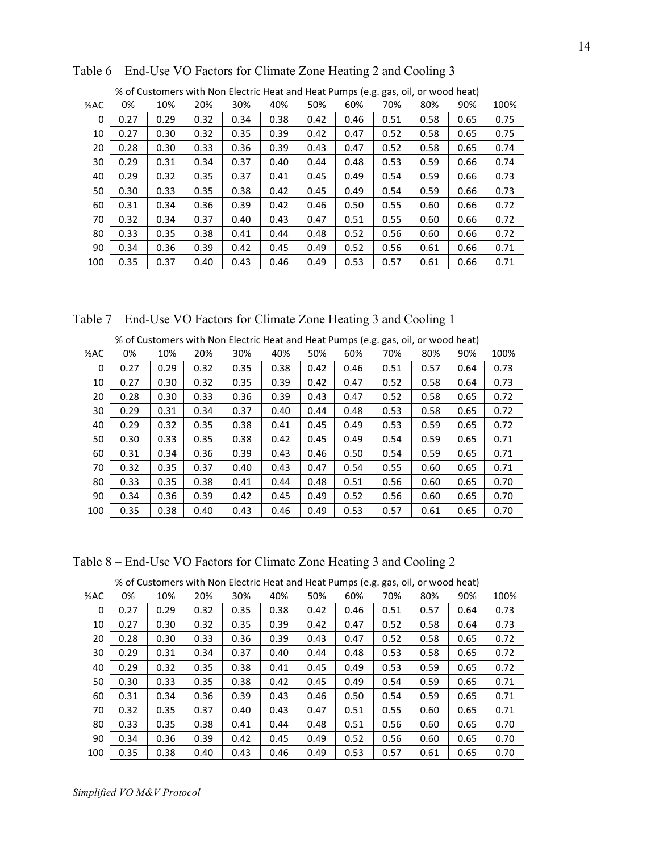|     | % of Customers with Non Electric Heat and Heat Pumps (e.g. gas, oil, or wood heat) |      |      |      |      |      |      |      |      |      |      |  |  |
|-----|------------------------------------------------------------------------------------|------|------|------|------|------|------|------|------|------|------|--|--|
| %AC | 0%                                                                                 | 10%  | 20%  | 30%  | 40%  | 50%  | 60%  | 70%  | 80%  | 90%  | 100% |  |  |
| 0   | 0.27                                                                               | 0.29 | 0.32 | 0.34 | 0.38 | 0.42 | 0.46 | 0.51 | 0.58 | 0.65 | 0.75 |  |  |
| 10  | 0.27                                                                               | 0.30 | 0.32 | 0.35 | 0.39 | 0.42 | 0.47 | 0.52 | 0.58 | 0.65 | 0.75 |  |  |
| 20  | 0.28                                                                               | 0.30 | 0.33 | 0.36 | 0.39 | 0.43 | 0.47 | 0.52 | 0.58 | 0.65 | 0.74 |  |  |
| 30  | 0.29                                                                               | 0.31 | 0.34 | 0.37 | 0.40 | 0.44 | 0.48 | 0.53 | 0.59 | 0.66 | 0.74 |  |  |
| 40  | 0.29                                                                               | 0.32 | 0.35 | 0.37 | 0.41 | 0.45 | 0.49 | 0.54 | 0.59 | 0.66 | 0.73 |  |  |
| 50  | 0.30                                                                               | 0.33 | 0.35 | 0.38 | 0.42 | 0.45 | 0.49 | 0.54 | 0.59 | 0.66 | 0.73 |  |  |
| 60  | 0.31                                                                               | 0.34 | 0.36 | 0.39 | 0.42 | 0.46 | 0.50 | 0.55 | 0.60 | 0.66 | 0.72 |  |  |
| 70  | 0.32                                                                               | 0.34 | 0.37 | 0.40 | 0.43 | 0.47 | 0.51 | 0.55 | 0.60 | 0.66 | 0.72 |  |  |
| 80  | 0.33                                                                               | 0.35 | 0.38 | 0.41 | 0.44 | 0.48 | 0.52 | 0.56 | 0.60 | 0.66 | 0.72 |  |  |
| 90  | 0.34                                                                               | 0.36 | 0.39 | 0.42 | 0.45 | 0.49 | 0.52 | 0.56 | 0.61 | 0.66 | 0.71 |  |  |
| 100 | 0.35                                                                               | 0.37 | 0.40 | 0.43 | 0.46 | 0.49 | 0.53 | 0.57 | 0.61 | 0.66 | 0.71 |  |  |

Table 6 – End-Use VO Factors for Climate Zone Heating 2 and Cooling 3

% of Customers with Non Electric Heat and Heat Pumps (e.g. gas, oil, or wood heat)

Table 7 – End-Use VO Factors for Climate Zone Heating 3 and Cooling 1

|          | % of Customers with Non Electric Heat and Heat Pumps (e.g. gas, oil, or wood heat) |      |      |      |      |      |      |      |      |      |      |  |  |
|----------|------------------------------------------------------------------------------------|------|------|------|------|------|------|------|------|------|------|--|--|
| %AC      | 0%                                                                                 | 10%  | 20%  | 30%  | 40%  | 50%  | 60%  | 70%  | 80%  | 90%  | 100% |  |  |
| $\Omega$ | 0.27                                                                               | 0.29 | 0.32 | 0.35 | 0.38 | 0.42 | 0.46 | 0.51 | 0.57 | 0.64 | 0.73 |  |  |
| 10       | 0.27                                                                               | 0.30 | 0.32 | 0.35 | 0.39 | 0.42 | 0.47 | 0.52 | 0.58 | 0.64 | 0.73 |  |  |
| 20       | 0.28                                                                               | 0.30 | 0.33 | 0.36 | 0.39 | 0.43 | 0.47 | 0.52 | 0.58 | 0.65 | 0.72 |  |  |
| 30       | 0.29                                                                               | 0.31 | 0.34 | 0.37 | 0.40 | 0.44 | 0.48 | 0.53 | 0.58 | 0.65 | 0.72 |  |  |
| 40       | 0.29                                                                               | 0.32 | 0.35 | 0.38 | 0.41 | 0.45 | 0.49 | 0.53 | 0.59 | 0.65 | 0.72 |  |  |
| 50       | 0.30                                                                               | 0.33 | 0.35 | 0.38 | 0.42 | 0.45 | 0.49 | 0.54 | 0.59 | 0.65 | 0.71 |  |  |
| 60       | 0.31                                                                               | 0.34 | 0.36 | 0.39 | 0.43 | 0.46 | 0.50 | 0.54 | 0.59 | 0.65 | 0.71 |  |  |
| 70       | 0.32                                                                               | 0.35 | 0.37 | 0.40 | 0.43 | 0.47 | 0.54 | 0.55 | 0.60 | 0.65 | 0.71 |  |  |
| 80       | 0.33                                                                               | 0.35 | 0.38 | 0.41 | 0.44 | 0.48 | 0.51 | 0.56 | 0.60 | 0.65 | 0.70 |  |  |
| 90       | 0.34                                                                               | 0.36 | 0.39 | 0.42 | 0.45 | 0.49 | 0.52 | 0.56 | 0.60 | 0.65 | 0.70 |  |  |
| 100      | 0.35                                                                               | 0.38 | 0.40 | 0.43 | 0.46 | 0.49 | 0.53 | 0.57 | 0.61 | 0.65 | 0.70 |  |  |

Table 8 – End-Use VO Factors for Climate Zone Heating 3 and Cooling 2

|     | % of Customers with Non-Electric Heat and Heat Pumps (e.g. gas, oil, or wood neat) |      |      |      |      |      |      |      |      |      |      |  |  |
|-----|------------------------------------------------------------------------------------|------|------|------|------|------|------|------|------|------|------|--|--|
| %AC | 0%                                                                                 | 10%  | 20%  | 30%  | 40%  | 50%  | 60%  | 70%  | 80%  | 90%  | 100% |  |  |
| 0   | 0.27                                                                               | 0.29 | 0.32 | 0.35 | 0.38 | 0.42 | 0.46 | 0.51 | 0.57 | 0.64 | 0.73 |  |  |
| 10  | 0.27                                                                               | 0.30 | 0.32 | 0.35 | 0.39 | 0.42 | 0.47 | 0.52 | 0.58 | 0.64 | 0.73 |  |  |
| 20  | 0.28                                                                               | 0.30 | 0.33 | 0.36 | 0.39 | 0.43 | 0.47 | 0.52 | 0.58 | 0.65 | 0.72 |  |  |
| 30  | 0.29                                                                               | 0.31 | 0.34 | 0.37 | 0.40 | 0.44 | 0.48 | 0.53 | 0.58 | 0.65 | 0.72 |  |  |
| 40  | 0.29                                                                               | 0.32 | 0.35 | 0.38 | 0.41 | 0.45 | 0.49 | 0.53 | 0.59 | 0.65 | 0.72 |  |  |
| 50  | 0.30                                                                               | 0.33 | 0.35 | 0.38 | 0.42 | 0.45 | 0.49 | 0.54 | 0.59 | 0.65 | 0.71 |  |  |
| 60  | 0.31                                                                               | 0.34 | 0.36 | 0.39 | 0.43 | 0.46 | 0.50 | 0.54 | 0.59 | 0.65 | 0.71 |  |  |
| 70  | 0.32                                                                               | 0.35 | 0.37 | 0.40 | 0.43 | 0.47 | 0.51 | 0.55 | 0.60 | 0.65 | 0.71 |  |  |
| 80  | 0.33                                                                               | 0.35 | 0.38 | 0.41 | 0.44 | 0.48 | 0.51 | 0.56 | 0.60 | 0.65 | 0.70 |  |  |
| 90  | 0.34                                                                               | 0.36 | 0.39 | 0.42 | 0.45 | 0.49 | 0.52 | 0.56 | 0.60 | 0.65 | 0.70 |  |  |
| 100 | 0.35                                                                               | 0.38 | 0.40 | 0.43 | 0.46 | 0.49 | 0.53 | 0.57 | 0.61 | 0.65 | 0.70 |  |  |

% of Customers with Non Electric Heat and Heat Pumps (e.g. gas, oil, or wood heat)